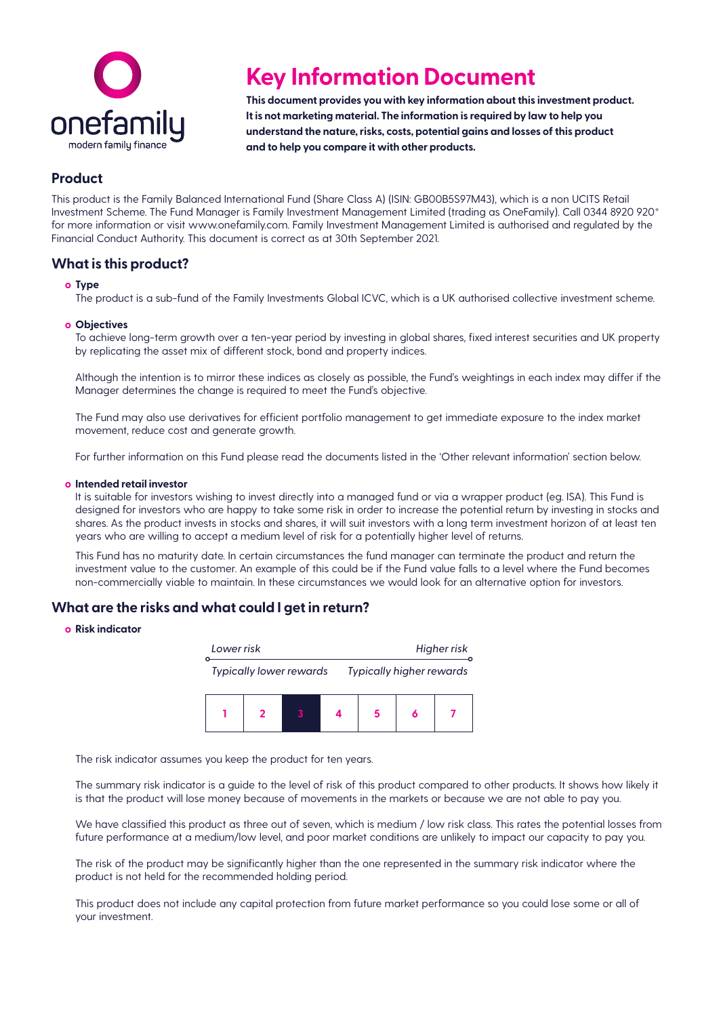

# **Key Information Document**

**This document provides you with key information about this investment product. It is not marketing material. The information is required by law to help you understand the nature, risks, costs, potential gains and losses of this product and to help you compare it with other products.**

# **Product**

This product is the Family Balanced International Fund (Share Class A) (ISIN: GB00B5S97M43), which is a non UCITS Retail Investment Scheme. The Fund Manager is Family Investment Management Limited (trading as OneFamily). Call 0344 8920 920\* for more information or visit<www.onefamily.com>. Family Investment Management Limited is authorised and regulated by the Financial Conduct Authority. This document is correct as at 30th September 2021.

## **What is this product?**

### **о Type**

The product is a sub-fund of the Family Investments Global ICVC, which is a UK authorised collective investment scheme.

### **о Objectives**

To achieve long-term growth over a ten-year period by investing in global shares, fixed interest securities and UK property by replicating the asset mix of different stock, bond and property indices.

Although the intention is to mirror these indices as closely as possible, the Fund's weightings in each index may differ if the Manager determines the change is required to meet the Fund's objective.

The Fund may also use derivatives for efficient portfolio management to get immediate exposure to the index market movement, reduce cost and generate growth.

For further information on this Fund please read the documents listed in the 'Other relevant information' section below.

#### **о Intended retail investor**

It is suitable for investors wishing to invest directly into a managed fund or via a wrapper product (eg. ISA). This Fund is designed for investors who are happy to take some risk in order to increase the potential return by investing in stocks and shares. As the product invests in stocks and shares, it will suit investors with a long term investment horizon of at least ten years who are willing to accept a medium level of risk for a potentially higher level of returns.

This Fund has no maturity date. In certain circumstances the fund manager can terminate the product and return the investment value to the customer. An example of this could be if the Fund value falls to a level where the Fund becomes non-commercially viable to maintain. In these circumstances we would look for an alternative option for investors.

## **What are the risks and what could I get in return?**

### **о Risk indicator**



The risk indicator assumes you keep the product for ten years.

The summary risk indicator is a guide to the level of risk of this product compared to other products. It shows how likely it is that the product will lose money because of movements in the markets or because we are not able to pay you.

We have classified this product as three out of seven, which is medium / low risk class. This rates the potential losses from future performance at a medium/low level, and poor market conditions are unlikely to impact our capacity to pay you.

The risk of the product may be significantly higher than the one represented in the summary risk indicator where the product is not held for the recommended holding period.

This product does not include any capital protection from future market performance so you could lose some or all of your investment.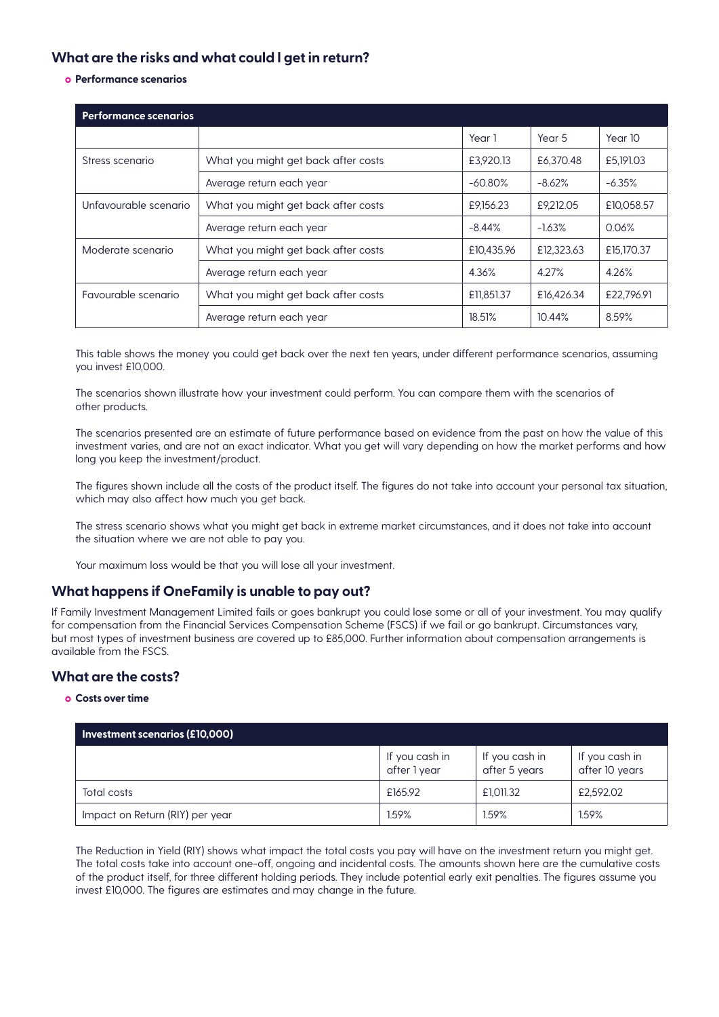# **What are the risks and what could I get in return?**

**о Performance scenarios**

| <b>Performance scenarios</b> |                                     |            |            |            |  |  |
|------------------------------|-------------------------------------|------------|------------|------------|--|--|
|                              |                                     | Year 1     | Year 5     | Year 10    |  |  |
| Stress scenario              | What you might get back after costs | £3,920.13  | £6,370.48  | £5,191.03  |  |  |
|                              | Average return each year            | $-60.80\%$ | $-8.62%$   | $-6.35%$   |  |  |
| Unfavourable scenario        | What you might get back after costs | £9,156.23  | £9,212.05  | £10,058.57 |  |  |
|                              | Average return each year            | $-8.44\%$  | $-1.63%$   | 0.06%      |  |  |
| Moderate scenario            | What you might get back after costs | £10,435.96 | £12,323.63 | £15,170.37 |  |  |
|                              | Average return each year            | 4.36%      | 4.27%      | 4.26%      |  |  |
| Favourable scenario          | What you might get back after costs | £11,851.37 | £16,426.34 | £22,796.91 |  |  |
|                              | Average return each year            | 18.51%     | 10.44%     | 8.59%      |  |  |

This table shows the money you could get back over the next ten years, under different performance scenarios, assuming you invest £10,000.

The scenarios shown illustrate how your investment could perform. You can compare them with the scenarios of other products.

The scenarios presented are an estimate of future performance based on evidence from the past on how the value of this investment varies, and are not an exact indicator. What you get will vary depending on how the market performs and how long you keep the investment/product.

The figures shown include all the costs of the product itself. The figures do not take into account your personal tax situation, which may also affect how much you get back.

The stress scenario shows what you might get back in extreme market circumstances, and it does not take into account the situation where we are not able to pay you.

Your maximum loss would be that you will lose all your investment.

## **What happens if OneFamily is unable to pay out?**

If Family Investment Management Limited fails or goes bankrupt you could lose some or all of your investment. You may qualify for compensation from the Financial Services Compensation Scheme (FSCS) if we fail or go bankrupt. Circumstances vary, but most types of investment business are covered up to £85,000. Further information about compensation arrangements is available from the FSCS.

## **What are the costs?**

## **о Costs over time**

| Investment scenarios (£10,000)  |                                |                                 |                                  |  |  |  |
|---------------------------------|--------------------------------|---------------------------------|----------------------------------|--|--|--|
|                                 | If you cash in<br>after 1 year | If you cash in<br>after 5 years | If you cash in<br>after 10 years |  |  |  |
| Total costs                     | £165.92                        | £1,011.32                       | £2,592.02                        |  |  |  |
| Impact on Return (RIY) per year | 1.59%                          | 1.59%                           | 1.59%                            |  |  |  |

The Reduction in Yield (RIY) shows what impact the total costs you pay will have on the investment return you might get. The total costs take into account one-off, ongoing and incidental costs. The amounts shown here are the cumulative costs of the product itself, for three different holding periods. They include potential early exit penalties. The figures assume you invest £10,000. The figures are estimates and may change in the future.